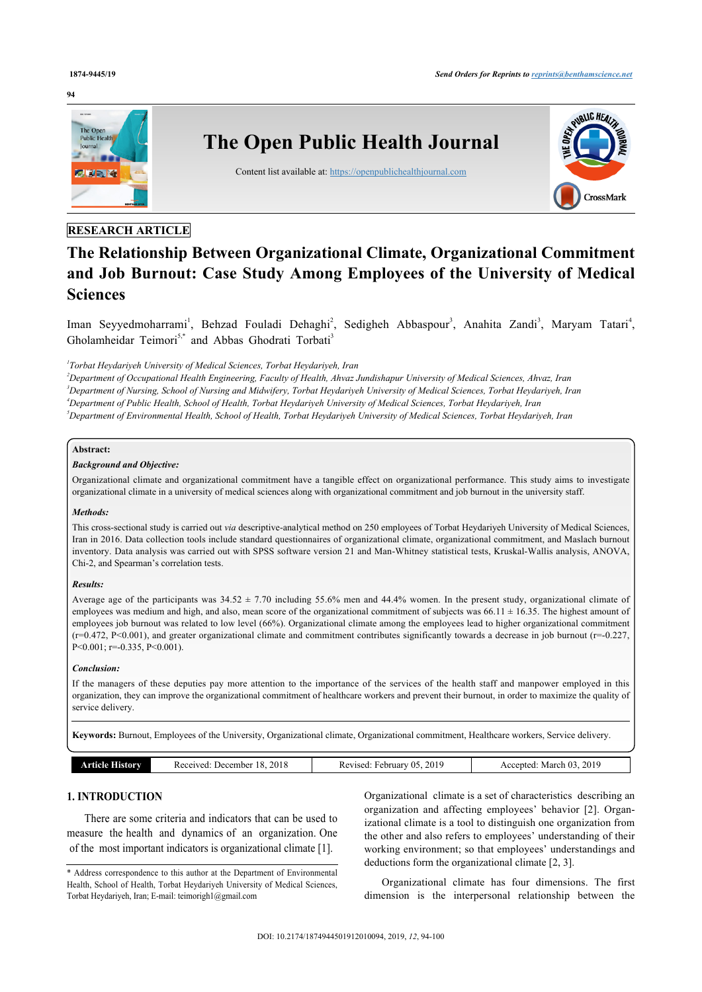#### **94**



# **RESEARCH ARTICLE**

# **The Relationship Between Organizational Climate, Organizational Commitment and Job Burnout: Case Study Among Employees of the University of Medical Sciences**

Iman Seyyedmoharram[i](#page-0-0)<sup>1</sup>, Behzad Fouladi Dehaghi<sup>[2](#page-0-1)</sup>, Sedigheh Abbaspour<sup>[3](#page-0-2)</sup>, Anahita Zandi<sup>3</sup>, Maryam Tatari<sup>[4](#page-0-3)</sup>, Gholamheidar Teimori<sup>[5](#page-0-4),[\\*](#page-0-5)</sup> and Abbas Ghodrati Torbati<sup>[3](#page-0-2)</sup>

<span id="page-0-0"></span>*1 Torbat Heydariyeh University of Medical Sciences, Torbat Heydariyeh, Iran*

<span id="page-0-4"></span><span id="page-0-3"></span><span id="page-0-2"></span><span id="page-0-1"></span>*Department of Occupational Health Engineering, Faculty of Health, Ahvaz Jundishapur University of Medical Sciences, Ahvaz, Iran Department of Nursing, School of Nursing and Midwifery, Torbat Heydariyeh University of Medical Sciences, Torbat Heydariyeh, Iran Department of Public Health, School of Health, Torbat Heydariyeh University of Medical Sciences, Torbat Heydariyeh, Iran Department of Environmental Health, School of Health, Torbat Heydariyeh University of Medical Sciences, Torbat Heydariyeh, Iran*

# **Abstract:**

#### *Background and Objective:*

Organizational climate and organizational commitment have a tangible effect on organizational performance. This study aims to investigate organizational climate in a university of medical sciences along with organizational commitment and job burnout in the university staff.

# *Methods:*

This cross-sectional study is carried out *via* descriptive-analytical method on 250 employees of Torbat Heydariyeh University of Medical Sciences, Iran in 2016. Data collection tools include standard questionnaires of organizational climate, organizational commitment, and Maslach burnout inventory. Data analysis was carried out with SPSS software version 21 and Man-Whitney statistical tests, Kruskal-Wallis analysis, ANOVA, Chi-2, and Spearman's correlation tests.

# *Results:*

Average age of the participants was  $34.52 \pm 7.70$  including 55.6% men and 44.4% women. In the present study, organizational climate of employees was medium and high, and also, mean score of the organizational commitment of subjects was 66.11  $\pm$  16.35. The highest amount of employees job burnout was related to low level (66%). Organizational climate among the employees lead to higher organizational commitment  $(r=0.472, P<0.001)$ , and greater organizational climate and commitment contributes significantly towards a decrease in job burnout  $(r=-0.227,$ P<0.001; r=-0.335, P<0.001).

# *Conclusion:*

If the managers of these deputies pay more attention to the importance of the services of the health staff and manpower employed in this organization, they can improve the organizational commitment of healthcare workers and prevent their burnout, in order to maximize the quality of service delivery.

**Keywords:** Burnout, Employees of the University, Organizational climate, Organizational commitment, Healthcare workers, Service delivery.

| <b>Article History</b> | 2018<br>December 18.<br>Received: | 2019<br>February 05<br>Revised: | March 03, 2019<br>Accepted: |
|------------------------|-----------------------------------|---------------------------------|-----------------------------|
|------------------------|-----------------------------------|---------------------------------|-----------------------------|

# **1. INTRODUCTION**

There are some criteria and indicators that can be used to measure the health and dynamics of an organization. One of the most important indicators is organizational climate [[1](#page-5-0)].

Organizational climate is a set of characteristics describing an organization and affecting employees' behavior[[2](#page-5-1)]. Organizational climate is a tool to distinguish one organization from the other and also refers to employees' understanding of their working environment; so that employees' understandings and deductions form the organizational climate [[2](#page-5-1), [3](#page-5-2)].

Organizational climate has four dimensions. The first dimension is the interpersonal relationship between the

<span id="page-0-5"></span><sup>\*</sup> Address correspondence to this author at the Department of Environmental Health, School of Health, Torbat Heydariyeh University of Medical Sciences, Torbat Heydariyeh, Iran; E-mail: [teimorigh1@gmail.com](mailto:teimorigh1@gmail.com)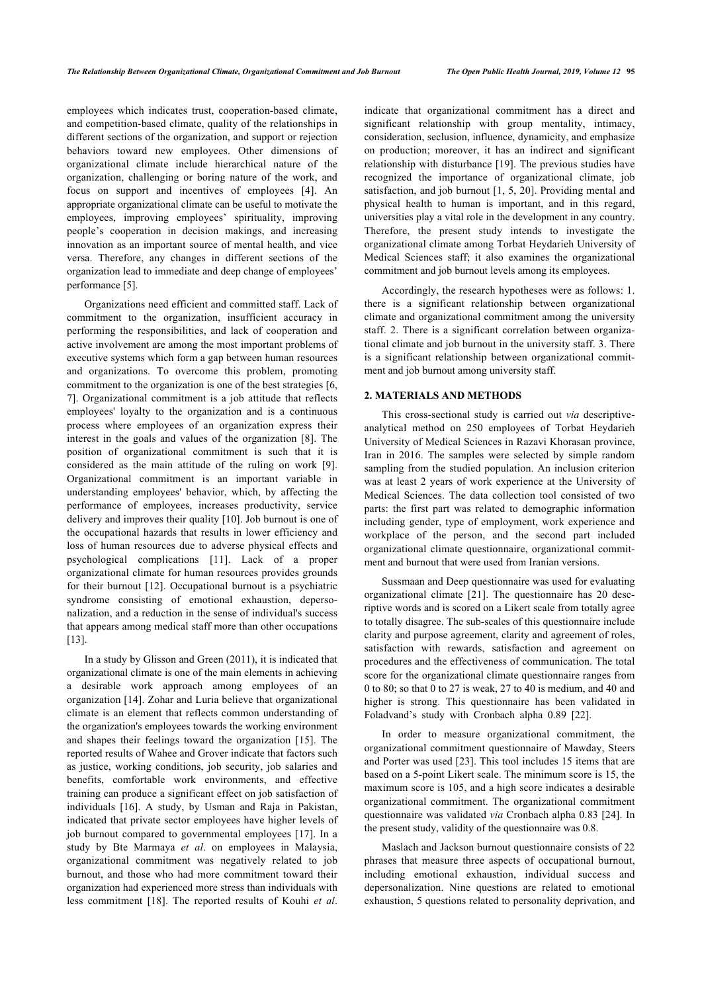employees which indicates trust, cooperation-based climate, and competition-based climate, quality of the relationships in different sections of the organization, and support or rejection behaviors toward new employees. Other dimensions of organizational climate include hierarchical nature of the organization, challenging or boring nature of the work, and focus on support and incentives of employees[[4](#page-5-3)]. An appropriate organizational climate can be useful to motivate the employees, improving employees' spirituality, improving people's cooperation in decision makings, and increasing innovation as an important source of mental health, and vice versa. Therefore, any changes in different sections of the organization lead to immediate and deep change of employees' performance [\[5\]](#page-5-4).

Organizations need efficient and committed staff. Lack of commitment to the organization, insufficient accuracy in performing the responsibilities, and lack of cooperation and active involvement are among the most important problems of executive systems which form a gap between human resources and organizations. To overcome this problem, promoting commitment to the organization is one of the best strategies [[6](#page-5-5), [7](#page-5-6)]. Organizational commitment is a job attitude that reflects employees' loyalty to the organization and is a continuous process where employees of an organization express their interest in the goals and values of the organization[[8](#page-5-7)]. The position of organizational commitment is such that it is considered as the main attitude of the ruling on work [\[9\]](#page-5-8). Organizational commitment is an important variable in understanding employees' behavior, which, by affecting the performance of employees, increases productivity, service delivery and improves their quality [\[10\]](#page-5-9). Job burnout is one of the occupational hazards that results in lower efficiency and loss of human resources due to adverse physical effects and psychological complications[[11](#page-5-10)]. Lack of a proper organizational climate for human resources provides grounds for their burnout [\[12](#page-5-11)]. Occupational burnout is a psychiatric syndrome consisting of emotional exhaustion, depersonalization, and a reduction in the sense of individual's success that appears among medical staff more than other occupations [[13\]](#page-5-12).

In a study by Glisson and Green (2011), it is indicated that organizational climate is one of the main elements in achieving a desirable work approach among employees of an organization [\[14](#page-5-13)]. Zohar and Luria believe that organizational climate is an element that reflects common understanding of the organization's employees towards the working environment and shapes their feelings toward the organization[[15\]](#page-5-14). The reported results of Wahee and Grover indicate that factors such as justice, working conditions, job security, job salaries and benefits, comfortable work environments, and effective training can produce a significant effect on job satisfaction of individuals[[16](#page-5-15)]. A study, by Usman and Raja in Pakistan, indicated that private sector employees have higher levels of job burnout compared to governmental employees [\[17\]](#page-5-16). In a study by Bte Marmaya *et al*. on employees in Malaysia, organizational commitment was negatively related to job burnout, and those who had more commitment toward their organization had experienced more stress than individuals with less commitment[[18](#page-5-17)]. The reported results of Kouhi *et al*.

indicate that organizational commitment has a direct and significant relationship with group mentality, intimacy, consideration, seclusion, influence, dynamicity, and emphasize on production; moreover, it has an indirect and significant relationship with disturbance [\[19\]](#page-5-18). The previous studies have recognized the importance of organizational climate, job satisfaction, and job burnout [\[1](#page-5-0), [5,](#page-5-4) [20](#page-5-19)]. Providing mental and physical health to human is important, and in this regard, universities play a vital role in the development in any country. Therefore, the present study intends to investigate the organizational climate among Torbat Heydarieh University of Medical Sciences staff; it also examines the organizational commitment and job burnout levels among its employees.

Accordingly, the research hypotheses were as follows: 1. there is a significant relationship between organizational climate and organizational commitment among the university staff. 2. There is a significant correlation between organizational climate and job burnout in the university staff. 3. There is a significant relationship between organizational commitment and job burnout among university staff.

# **2. MATERIALS AND METHODS**

This cross-sectional study is carried out *via* descriptiveanalytical method on 250 employees of Torbat Heydarieh University of Medical Sciences in Razavi Khorasan province, Iran in 2016. The samples were selected by simple random sampling from the studied population. An inclusion criterion was at least 2 years of work experience at the University of Medical Sciences. The data collection tool consisted of two parts: the first part was related to demographic information including gender, type of employment, work experience and workplace of the person, and the second part included organizational climate questionnaire, organizational commitment and burnout that were used from Iranian versions.

Sussmaan and Deep questionnaire was used for evaluating organizational climate[[21](#page-5-20)]. The questionnaire has 20 descriptive words and is scored on a Likert scale from totally agree to totally disagree. The sub-scales of this questionnaire include clarity and purpose agreement, clarity and agreement of roles, satisfaction with rewards, satisfaction and agreement on procedures and the effectiveness of communication. The total score for the organizational climate questionnaire ranges from 0 to 80; so that 0 to 27 is weak, 27 to 40 is medium, and 40 and higher is strong. This questionnaire has been validated in Foladvand's study with Cronbach alpha 0.89[[22\]](#page-5-21).

In order to measure organizational commitment, the organizational commitment questionnaire of Mawday, Steers and Porter was used [[23\]](#page-5-22). This tool includes 15 items that are based on a 5-point Likert scale. The minimum score is 15, the maximum score is 105, and a high score indicates a desirable organizational commitment. The organizational commitment questionnaire was validated *via* Cronbach alpha 0.83 [\[24\]](#page-6-0). In the present study, validity of the questionnaire was 0.8.

Maslach and Jackson burnout questionnaire consists of 22 phrases that measure three aspects of occupational burnout, including emotional exhaustion, individual success and depersonalization. Nine questions are related to emotional exhaustion, 5 questions related to personality deprivation, and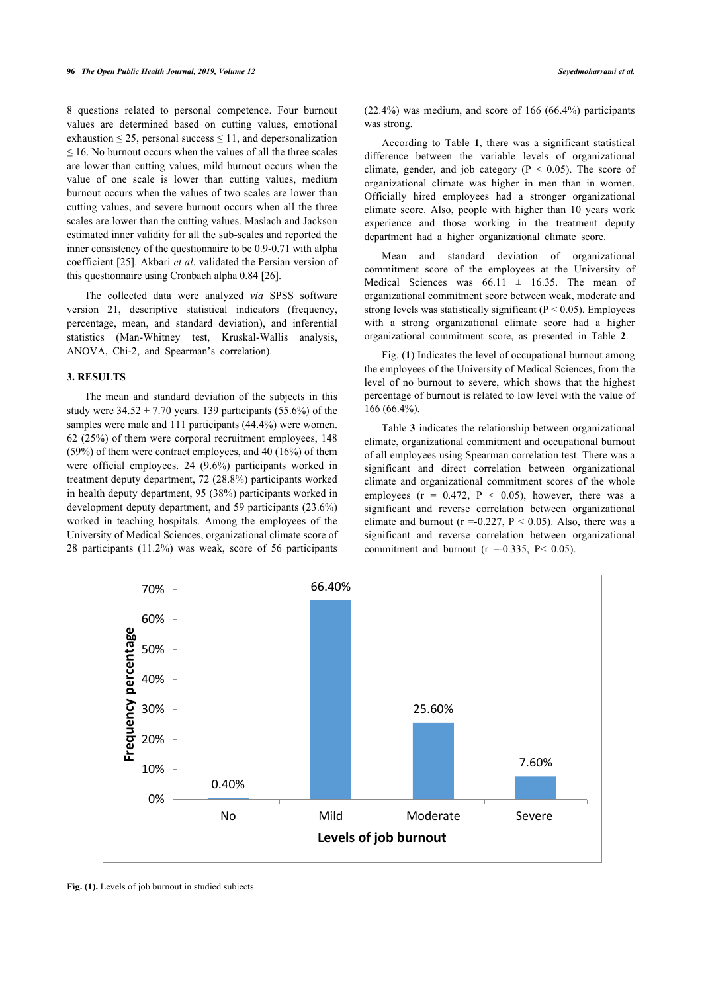8 questions related to personal competence. Four burnout values are determined based on cutting values, emotional exhaustion  $\leq$  25, personal success  $\leq$  11, and depersonalization  $\leq$  16. No burnout occurs when the values of all the three scales are lower than cutting values, mild burnout occurs when the value of one scale is lower than cutting values, medium burnout occurs when the values of two scales are lower than cutting values, and severe burnout occurs when all the three scales are lower than the cutting values. Maslach and Jackson estimated inner validity for all the sub-scales and reported the inner consistency of the questionnaire to be 0.9-0.71 with alpha coefficient [[25](#page-6-1)]. Akbari *et al*. validated the Persian version of this questionnaire using Cronbach alpha 0.84 [\[26](#page-6-2)].

The collected data were analyzed *via* SPSS software version 21, descriptive statistical indicators (frequency, percentage, mean, and standard deviation), and inferential statistics (Man-Whitney test, Kruskal-Wallis analysis, ANOVA, Chi-2, and Spearman's correlation).

# **3. RESULTS**

The mean and standard deviation of the subjects in this study were  $34.52 \pm 7.70$  years. 139 participants (55.6%) of the samples were male and 111 participants (44.4%) were women. 62 (25%) of them were corporal recruitment employees, 148 (59%) of them were contract employees, and 40 (16%) of them were official employees. 24 (9.6%) participants worked in treatment deputy department, 72 (28.8%) participants worked in health deputy department, 95 (38%) participants worked in development deputy department, and 59 participants (23.6%) worked in teaching hospitals. Among the employees of the University of Medical Sciences, organizational climate score of 28 participants (11.2%) was weak, score of 56 participants (22.4%) was medium, and score of 166 (66.4%) participants was strong.

According to Table**1**, there was a significant statistical difference between the variable levels of organizational climate, gender, and job category ( $P < 0.05$ ). The score of organizational climate was higher in men than in women. Officially hired employees had a stronger organizational climate score. Also, people with higher than 10 years work experience and those working in the treatment deputy department had a higher organizational climate score.

Mean and standard deviation of organizational commitment score of the employees at the University of Medical Sciences was  $66.11 \pm 16.35$ . The mean of organizational commitment score between weak, moderate and strong levels was statistically significant ( $P < 0.05$ ). Employees with a strong organizational climate score had a higher organizational commitment score, as presented in Table**2**.

Fig. (**1**) Indicates the level of occupational burnout among the employees of the University of Medical Sciences, from the level of no burnout to severe, which shows that the highest percentage of burnout is related to low level with the value of 166 (66.4%).

Table **[3](#page-3-2)** indicates the relationship between organizational climate, organizational commitment and occupational burnout of all employees using Spearman correlation test. There was a significant and direct correlation between organizational climate and organizational commitment scores of the whole employees  $(r = 0.472, P < 0.05)$ , however, there was a significant and reverse correlation between organizational climate and burnout ( $r = -0.227$ ,  $P < 0.05$ ). Also, there was a significant and reverse correlation between organizational commitment and burnout ( $r = -0.335$ ,  $P < 0.05$ ).



Fig. (1). Levels of job burnout in studied subjects.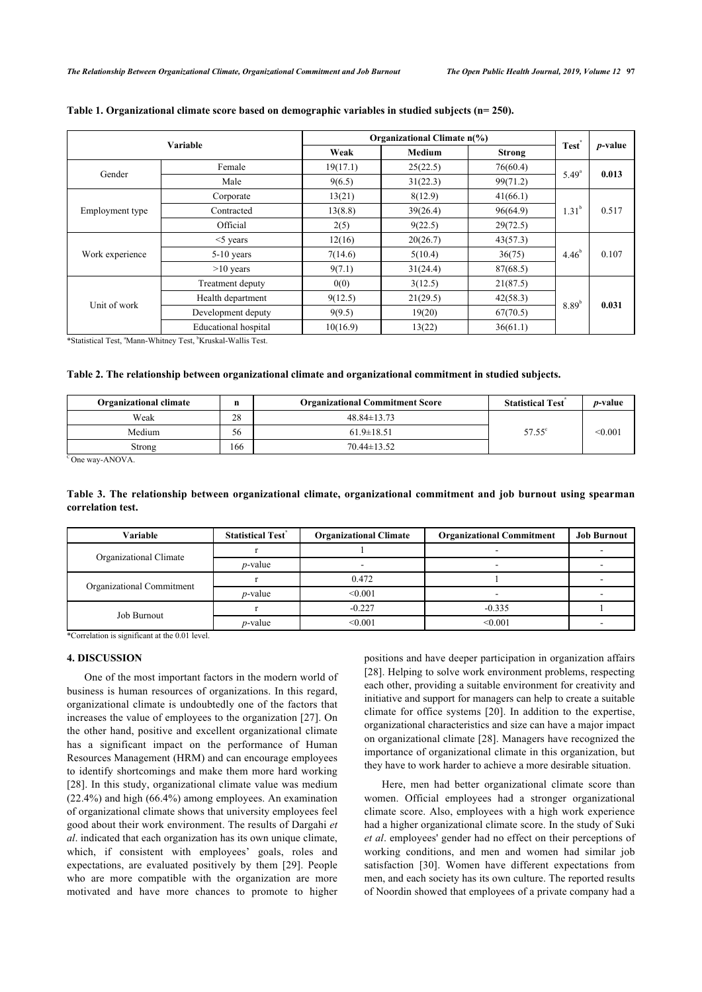| Variable        |                             | Organizational Climate n(%) |               |          |                   |                 |
|-----------------|-----------------------------|-----------------------------|---------------|----------|-------------------|-----------------|
|                 |                             | Weak                        | <b>Medium</b> | Strong   | Test              | <i>p</i> -value |
| Gender          | Female                      | 19(17.1)                    | 25(22.5)      | 76(60.4) | $5.49^{a}$        | 0.013           |
|                 | Male                        | 9(6.5)                      | 31(22.3)      | 99(71.2) |                   |                 |
| Employment type | Corporate                   | 13(21)                      | 8(12.9)       | 41(66.1) | 1.31 <sup>b</sup> | 0.517           |
|                 | Contracted                  | 13(8.8)                     | 39(26.4)      | 96(64.9) |                   |                 |
|                 | Official                    | 2(5)                        | 9(22.5)       | 29(72.5) |                   |                 |
| Work experience | $<$ 5 years                 | 12(16)                      | 20(26.7)      | 43(57.3) |                   |                 |
|                 | $5-10$ years                | 7(14.6)                     | 5(10.4)       | 36(75)   | $4.46^{b}$        | 0.107           |
|                 | $>10$ years                 | 9(7.1)                      | 31(24.4)      | 87(68.5) |                   |                 |
|                 | Treatment deputy            | 0(0)                        | 3(12.5)       | 21(87.5) |                   |                 |
| Unit of work    | Health department           | 9(12.5)                     | 21(29.5)      | 42(58.3) | $8.89^{b}$        |                 |
|                 | Development deputy          | 9(9.5)                      | 19(20)        | 67(70.5) |                   | 0.031           |
|                 | <b>Educational</b> hospital | 10(16.9)                    | 13(22)        | 36(61.1) |                   |                 |

# <span id="page-3-0"></span>**Table 1. Organizational climate score based on demographic variables in studied subjects (n= 250).**

\*Statistical Test, <sup>a</sup>Mann-Whitney Test, <sup>b</sup>Kruskal-Wallis Test.

# <span id="page-3-1"></span>**Table 2. The relationship between organizational climate and organizational commitment in studied subjects.**

| <b>Organizational climate</b> | n   | <b>Organizational Commitment Score</b> | <b>Statistical Test</b> | <i>p</i> -value |
|-------------------------------|-----|----------------------------------------|-------------------------|-----------------|
| Weak                          | 28  | $48.84 \pm 13.73$                      |                         |                 |
| Medium                        | 56  | $61.9 \pm 18.51$                       | $57.55^{\circ}$         | < 0.001         |
| Strong                        | 166 | $70.44 \pm 13.52$                      |                         |                 |

 $\overline{C}$ One way-ANOVA.

# <span id="page-3-2"></span>**Table 3. The relationship between organizational climate, organizational commitment and job burnout using spearman correlation test.**

| Variable                  | <b>Statistical Test</b> | <b>Organizational Climate</b> | <b>Organizational Commitment</b> | <b>Job Burnout</b> |
|---------------------------|-------------------------|-------------------------------|----------------------------------|--------------------|
| Organizational Climate    |                         |                               |                                  |                    |
|                           | <i>p</i> -value         |                               | -                                |                    |
|                           |                         | 0.472                         |                                  |                    |
| Organizational Commitment | <i>p</i> -value         | < 0.001                       |                                  |                    |
| Job Burnout               |                         | $-0.227$                      | $-0.335$                         |                    |
|                           | <i>p</i> -value         | < 0.001                       | < 0.001                          |                    |

\*Correlation is significant at the 0.01 level.

# **4. DISCUSSION**

One of the most important factors in the modern world of business is human resources of organizations. In this regard, organizational climate is undoubtedly one of the factors that increases the value of employees to the organization [[27](#page-6-3)]. On the other hand, positive and excellent organizational climate has a significant impact on the performance of Human Resources Management (HRM) and can encourage employees to identify shortcomings and make them more hard working [[28\]](#page-6-4). In this study, organizational climate value was medium (22.4%) and high (66.4%) among employees. An examination of organizational climate shows that university employees feel good about their work environment. The results of Dargahi *et al*. indicated that each organization has its own unique climate, which, if consistent with employees' goals, roles and expectations, are evaluated positively by them[[29\]](#page-6-5). People who are more compatible with the organization are more motivated and have more chances to promote to higher

positions and have deeper participation in organization affairs [[28](#page-6-4)]. Helping to solve work environment problems, respecting each other, providing a suitable environment for creativity and initiative and support for managers can help to create a suitable climate for office systems [[20\]](#page-5-19). In addition to the expertise, organizational characteristics and size can have a major impact on organizational climate [[28\]](#page-6-4). Managers have recognized the importance of organizational climate in this organization, but they have to work harder to achieve a more desirable situation.

Here, men had better organizational climate score than women. Official employees had a stronger organizational climate score. Also, employees with a high work experience had a higher organizational climate score. In the study of Suki *et al*. employees' gender had no effect on their perceptions of working conditions, and men and women had similar job satisfaction[[30](#page-6-6)]. Women have different expectations from men, and each society has its own culture. The reported results of Noordin showed that employees of a private company had a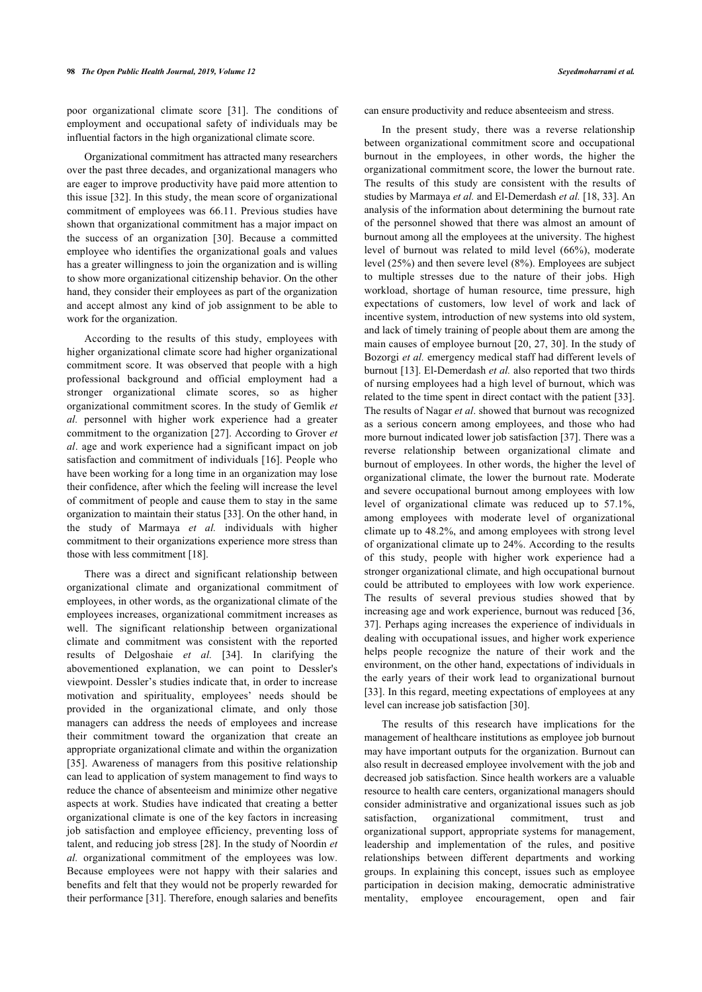poor organizational climate score [\[31](#page-6-7)]. The conditions of employment and occupational safety of individuals may be influential factors in the high organizational climate score.

Organizational commitment has attracted many researchers over the past three decades, and organizational managers who are eager to improve productivity have paid more attention to this issue [[32\]](#page-6-8). In this study, the mean score of organizational commitment of employees was 66.11. Previous studies have shown that organizational commitment has a major impact on the success of an organization[[30](#page-6-6)]. Because a committed employee who identifies the organizational goals and values has a greater willingness to join the organization and is willing to show more organizational citizenship behavior. On the other hand, they consider their employees as part of the organization and accept almost any kind of job assignment to be able to work for the organization.

According to the results of this study, employees with higher organizational climate score had higher organizational commitment score. It was observed that people with a high professional background and official employment had a stronger organizational climate scores, so as higher organizational commitment scores. In the study of Gemlik *et al.* personnel with higher work experience had a greater commitment to the organization [[27](#page-6-3)]. According to Grover *et al*. age and work experience had a significant impact on job satisfaction and commitment of individuals [[16](#page-5-15)]. People who have been working for a long time in an organization may lose their confidence, after which the feeling will increase the level of commitment of people and cause them to stay in the same organization to maintain their status [[33\]](#page-6-9). On the other hand, in the study of Marmaya *et al.* individuals with higher commitment to their organizations experience more stress than those with less commitment [[18\]](#page-5-17).

There was a direct and significant relationship between organizational climate and organizational commitment of employees, in other words, as the organizational climate of the employees increases, organizational commitment increases as well. The significant relationship between organizational climate and commitment was consistent with the reported results of Delgoshaie *et al.* [[34\]](#page-6-10). In clarifying the abovementioned explanation, we can point to Dessler's viewpoint. Dessler's studies indicate that, in order to increase motivation and spirituality, employees' needs should be provided in the organizational climate, and only those managers can address the needs of employees and increase their commitment toward the organization that create an appropriate organizational climate and within the organization [[35\]](#page-6-4). Awareness of managers from this positive relationship can lead to application of system management to find ways to reduce the chance of absenteeism and minimize other negative aspects at work. Studies have indicated that creating a better organizational climate is one of the key factors in increasing job satisfaction and employee efficiency, preventing loss of talent, and reducing job stress [[28](#page-6-4)]. In the study of Noordin *et al.* organizational commitment of the employees was low. Because employees were not happy with their salaries and benefits and felt that they would not be properly rewarded for their performance [[31\]](#page-6-7). Therefore, enough salaries and benefits can ensure productivity and reduce absenteeism and stress.

In the present study, there was a reverse relationship between organizational commitment score and occupational burnout in the employees, in other words, the higher the organizational commitment score, the lower the burnout rate. The results of this study are consistent with the results of studies by Marmaya *et al.* and El-Demerdash *et al.* [[18,](#page-5-17) [33](#page-6-9)]. An analysis of the information about determining the burnout rate of the personnel showed that there was almost an amount of burnout among all the employees at the university. The highest level of burnout was related to mild level (66%), moderate level (25%) and then severe level (8%). Employees are subject to multiple stresses due to the nature of their jobs. High workload, shortage of human resource, time pressure, high expectations of customers, low level of work and lack of incentive system, introduction of new systems into old system, and lack of timely training of people about them are among the main causes of employee burnout [\[20](#page-5-19), [27](#page-6-3), [30\]](#page-6-6). In the study of Bozorgi *et al.* emergency medical staff had different levels of burnout [[13\]](#page-5-12). El-Demerdash *et al.* also reported that two thirds of nursing employees had a high level of burnout, which was related to the time spent in direct contact with the patient [\[33](#page-6-9)]. The results of Nagar *et al*. showed that burnout was recognized as a serious concern among employees, and those who had more burnout indicated lower job satisfaction [\[37](#page-6-6)]. There was a reverse relationship between organizational climate and burnout of employees. In other words, the higher the level of organizational climate, the lower the burnout rate. Moderate and severe occupational burnout among employees with low level of organizational climate was reduced up to 57.1%, among employees with moderate level of organizational climate up to 48.2%, and among employees with strong level of organizational climate up to 24%. According to the results of this study, people with higher work experience had a stronger organizational climate, and high occupational burnout could be attributed to employees with low work experience. The results of several previous studies showed that by increasing age and work experience, burnout was reduced [\[36](#page-6-11), [37](#page-6-6)]. Perhaps aging increases the experience of individuals in dealing with occupational issues, and higher work experience helps people recognize the nature of their work and the environment, on the other hand, expectations of individuals in the early years of their work lead to organizational burnout [[33](#page-6-9)]. In this regard, meeting expectations of employees at any level can increase job satisfaction [\[30](#page-6-6)].

The results of this research have implications for the management of healthcare institutions as employee job burnout may have important outputs for the organization. Burnout can also result in decreased employee involvement with the job and decreased job satisfaction. Since health workers are a valuable resource to health care centers, organizational managers should consider administrative and organizational issues such as job satisfaction, organizational commitment, trust and organizational support, appropriate systems for management, leadership and implementation of the rules, and positive relationships between different departments and working groups. In explaining this concept, issues such as employee participation in decision making, democratic administrative mentality, employee encouragement, open and fair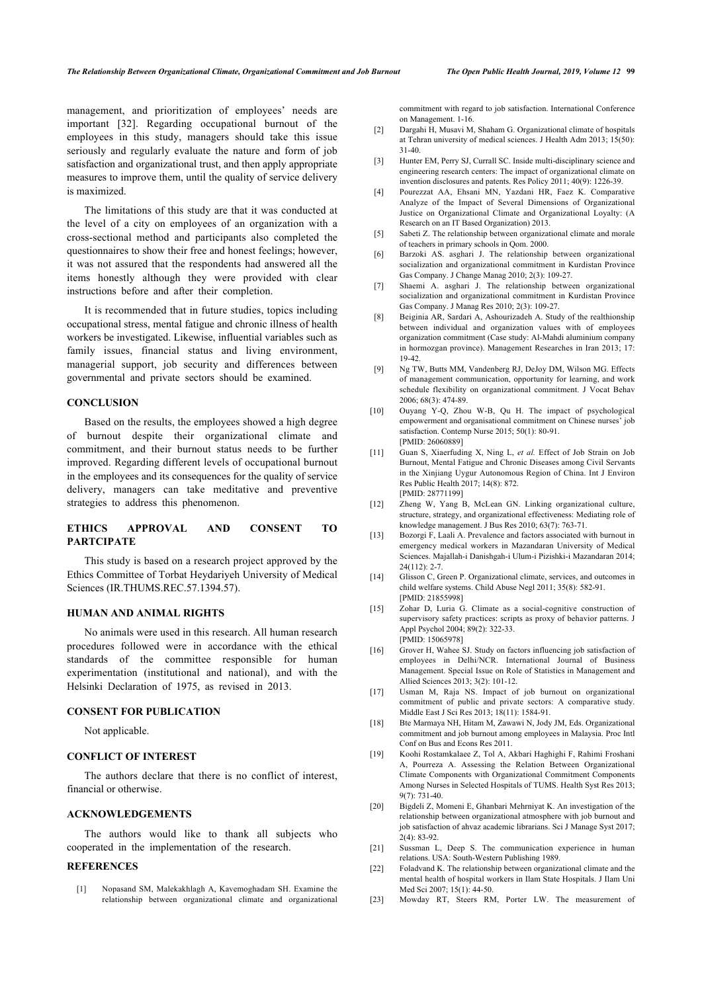<span id="page-5-2"></span><span id="page-5-1"></span>management, and prioritization of employees' needs are important[[32](#page-6-8)]. Regarding occupational burnout of the employees in this study, managers should take this issue seriously and regularly evaluate the nature and form of job satisfaction and organizational trust, and then apply appropriate measures to improve them, until the quality of service delivery is maximized.

<span id="page-5-5"></span><span id="page-5-4"></span><span id="page-5-3"></span>The limitations of this study are that it was conducted at the level of a city on employees of an organization with a cross-sectional method and participants also completed the questionnaires to show their free and honest feelings; however, it was not assured that the respondents had answered all the items honestly although they were provided with clear instructions before and after their completion.

<span id="page-5-7"></span><span id="page-5-6"></span>It is recommended that in future studies, topics including occupational stress, mental fatigue and chronic illness of health workers be investigated. Likewise, influential variables such as family issues, financial status and living environment, managerial support, job security and differences between governmental and private sectors should be examined.

#### <span id="page-5-9"></span><span id="page-5-8"></span>**CONCLUSION**

<span id="page-5-10"></span>Based on the results, the employees showed a high degree of burnout despite their organizational climate and commitment, and their burnout status needs to be further improved. Regarding different levels of occupational burnout in the employees and its consequences for the quality of service delivery, managers can take meditative and preventive strategies to address this phenomenon.

# <span id="page-5-12"></span><span id="page-5-11"></span>**ETHICS APPROVAL AND CONSENT TO PARTCIPATE**

<span id="page-5-13"></span>This study is based on a research project approved by the Ethics Committee of Torbat Heydariyeh University of Medical Sciences (IR.THUMS.REC.57.1394.57).

# <span id="page-5-14"></span>**HUMAN AND ANIMAL RIGHTS**

<span id="page-5-15"></span>No animals were used in this research. All human research procedures followed were in accordance with the ethical standards of the committee responsible for human experimentation (institutional and national), and with the Helsinki Declaration of 1975, as revised in 2013.

# <span id="page-5-17"></span><span id="page-5-16"></span>**CONSENT FOR PUBLICATION**

Not applicable.

# <span id="page-5-18"></span>**CONFLICT OF INTEREST**

The authors declare that there is no conflict of interest, financial or otherwise.

# <span id="page-5-19"></span>**ACKNOWLEDGEMENTS**

<span id="page-5-20"></span>The authors would like to thank all subjects who cooperated in the implementation of the research.

# <span id="page-5-22"></span><span id="page-5-21"></span><span id="page-5-0"></span>**REFERENCES**

[1] Nopasand SM, Malekakhlagh A, Kavemoghadam SH. Examine the relationship between organizational climate and organizational commitment with regard to job satisfaction. International Conference on Management. 1-16.

- [2] Dargahi H, Musavi M, Shaham G. Organizational climate of hospitals at Tehran university of medical sciences. J Health Adm 2013; 15(50): 31-40.
- [3] Hunter EM, Perry SJ, Currall SC. Inside multi-disciplinary science and engineering research centers: The impact of organizational climate on invention disclosures and patents. Res Policy 2011; 40(9): 1226-39.
- [4] Pourezzat AA, Ehsani MN, Yazdani HR, Faez K. Comparative Analyze of the Impact of Several Dimensions of Organizational Justice on Organizational Climate and Organizational Loyalty: (A Research on an IT Based Organization) 2013.
- [5] Sabeti Z. The relationship between organizational climate and morale of teachers in primary schools in Qom. 2000.
- [6] Barzoki AS. asghari J. The relationship between organizational socialization and organizational commitment in Kurdistan Province Gas Company. J Change Manag 2010; 2(3): 109-27.
- [7] Shaemi A. asghari J. The relationship between organizational socialization and organizational commitment in Kurdistan Province Gas Company. J Manag Res 2010; 2(3): 109-27.
- [8] Beiginia AR, Sardari A, Ashourizadeh A. Study of the realthionship between individual and organization values with of employees organization commitment (Case study: Al-Mahdi aluminium company in hormozgan province). Management Researches in Iran 2013; 17: 19-42.
- [9] Ng TW, Butts MM, Vandenberg RJ, DeJoy DM, Wilson MG. Effects of management communication, opportunity for learning, and work schedule flexibility on organizational commitment. J Vocat Behav 2006; 68(3): 474-89.
- [10] Ouyang Y-O, Zhou W-B, Ou H. The impact of psychological empowerment and organisational commitment on Chinese nurses' job satisfaction. Contemp Nurse 2015; 50(1): 80-91. [PMID: [26060889\]](http://www.ncbi.nlm.nih.gov/pubmed/26060889)
- [11] Guan S, Xiaerfuding X, Ning L, *et al.* Effect of Job Strain on Job Burnout, Mental Fatigue and Chronic Diseases among Civil Servants in the Xinjiang Uygur Autonomous Region of China. Int J Environ Res Public Health 2017; 14(8): 872. [PMID: [28771199\]](http://www.ncbi.nlm.nih.gov/pubmed/28771199)
- [12] Zheng W, Yang B, McLean GN. Linking organizational culture, structure, strategy, and organizational effectiveness: Mediating role of knowledge management. J Bus Res 2010; 63(7): 763-71.
- [13] Bozorgi F, Laali A. Prevalence and factors associated with burnout in emergency medical workers in Mazandaran University of Medical Sciences. Majallah-i Danishgah-i Ulum-i Pizishki-i Mazandaran 2014;  $24(112)$ : 2-7
- [14] Glisson C, Green P. Organizational climate, services, and outcomes in child welfare systems. Child Abuse Negl 2011; 35(8): 582-91. [PMID: [21855998\]](http://www.ncbi.nlm.nih.gov/pubmed/21855998)
- [15] Zohar D, Luria G. Climate as a social-cognitive construction of supervisory safety practices: scripts as proxy of behavior patterns. J Appl Psychol 2004; 89(2): 322-33. [PMID: [15065978\]](http://www.ncbi.nlm.nih.gov/pubmed/15065978)
- [16] Grover H, Wahee SJ. Study on factors influencing job satisfaction of employees in Delhi/NCR. International Journal of Business Management. Special Issue on Role of Statistics in Management and Allied Sciences 2013; 3(2): 101-12.
- [17] Usman M, Raja NS. Impact of job burnout on organizational commitment of public and private sectors: A comparative study. Middle East J Sci Res 2013; 18(11): 1584-91.
- [18] Bte Marmaya NH, Hitam M, Zawawi N, Jody JM, Eds. Organizational commitment and job burnout among employees in Malaysia. Proc Intl Conf on Bus and Econs Res 2011.
- [19] Koohi Rostamkalaee Z, Tol A, Akbari Haghighi F, Rahimi Froshani A, Pourreza A. Assessing the Relation Between Organizational Climate Components with Organizational Commitment Components Among Nurses in Selected Hospitals of TUMS. Health Syst Res 2013; 9(7): 731-40.
- [20] Bigdeli Z, Momeni E, Ghanbari Mehrniyat K. An investigation of the relationship between organizational atmosphere with job burnout and job satisfaction of ahvaz academic librarians. Sci J Manage Syst 2017; 2(4): 83-92.
- [21] Sussman L, Deep S. The communication experience in human relations. USA: South-Western Publishing 1989.
- [22] Foladvand K. The relationship between organizational climate and the mental health of hospital workers in Ilam State Hospitals. J Ilam Uni Med Sci 2007; 15(1): 44-50.
- [23] Mowday RT, Steers RM, Porter LW. The measurement of